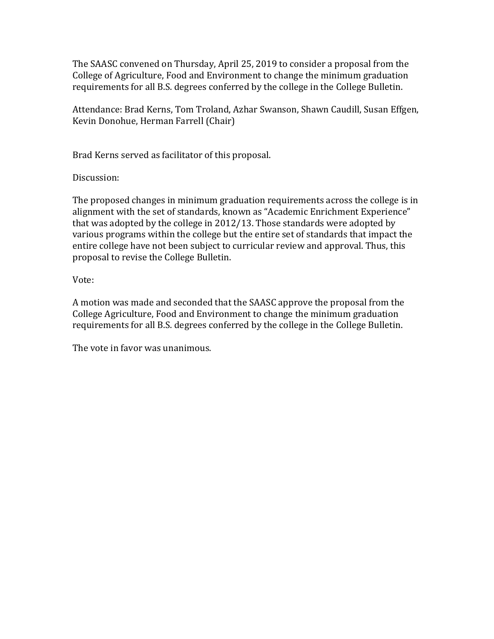The SAASC convened on Thursday, April 25, 2019 to consider a proposal from the College of Agriculture, Food and Environment to change the minimum graduation requirements for all B.S. degrees conferred by the college in the College Bulletin.

Attendance: Brad Kerns, Tom Troland, Azhar Swanson, Shawn Caudill, Susan Effgen, Kevin Donohue, Herman Farrell (Chair)

Brad Kerns served as facilitator of this proposal.

Discussion:

The proposed changes in minimum graduation requirements across the college is in alignment with the set of standards, known as "Academic Enrichment Experience" that was adopted by the college in 2012/13. Those standards were adopted by various programs within the college but the entire set of standards that impact the entire college have not been subject to curricular review and approval. Thus, this proposal to revise the College Bulletin.

Vote:

A motion was made and seconded that the SAASC approve the proposal from the College Agriculture, Food and Environment to change the minimum graduation requirements for all B.S. degrees conferred by the college in the College Bulletin.

The vote in favor was unanimous.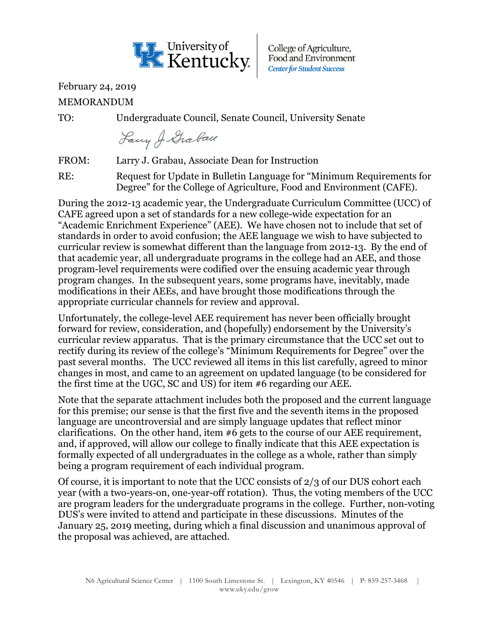

College of Agriculture, Food and Environment **Center for Student Success** 

## February 24, 2019

MEMORANDUM

TO: Undergraduate Council, Senate Council, University Senate

Lawy J. Grabau

FROM: Larry J. Grabau, Associate Dean for Instruction

RE: Request for Update in Bulletin Language for "Minimum Requirements for Degree" for the College of Agriculture, Food and Environment (CAFE).

During the 2012-13 academic year, the Undergraduate Curriculum Committee (UCC) of CAFE agreed upon a set of standards for a new college-wide expectation for an "Academic Enrichment Experience" (AEE). We have chosen not to include that set of standards in order to avoid confusion; the AEE language we wish to have subjected to curricular review is somewhat different than the language from 2012-13. By the end of that academic year, all undergraduate programs in the college had an AEE, and those program-level requirements were codified over the ensuing academic year through program changes. In the subsequent years, some programs have, inevitably, made modifications in their AEEs, and have brought those modifications through the appropriate curricular channels for review and approval.

Unfortunately, the college-level AEE requirement has never been officially brought forward for review, consideration, and (hopefully) endorsement by the University's curricular review apparatus. That is the primary circumstance that the UCC set out to rectify during its review of the college's "Minimum Requirements for Degree" over the past several months. The UCC reviewed all items in this list carefully, agreed to minor changes in most, and came to an agreement on updated language (to be considered for the first time at the UGC, SC and US) for item #6 regarding our AEE.

Note that the separate attachment includes both the proposed and the current language for this premise; our sense is that the first five and the seventh items in the proposed language are uncontroversial and are simply language updates that reflect minor clarifications. On the other hand, item #6 gets to the course of our AEE requirement, and, if approved, will allow our college to finally indicate that this AEE expectation is formally expected of all undergraduates in the college as a whole, rather than simply being a program requirement of each individual program.

Of course, it is important to note that the UCC consists of 2/3 of our DUS cohort each year (with a two-years-on, one-year-off rotation). Thus, the voting members of the UCC are program leaders for the undergraduate programs in the college. Further, non-voting DUS's were invited to attend and participate in these discussions. Minutes of the January 25, 2019 meeting, during which a final discussion and unanimous approval of the proposal was achieved, are attached.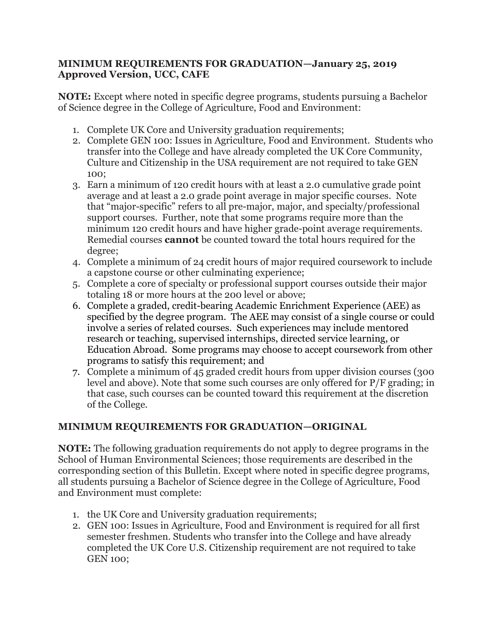## **MINIMUM REQUIREMENTS FOR GRADUATION—January 25, 2019 Approved Version, UCC, CAFE**

**NOTE:** Except where noted in specific degree programs, students pursuing a Bachelor of Science degree in the College of Agriculture, Food and Environment:

- 1. Complete UK Core and University graduation requirements;
- 2. Complete GEN 100: Issues in Agriculture, Food and Environment. Students who transfer into the College and have already completed the UK Core Community, Culture and Citizenship in the USA requirement are not required to take GEN 100;
- 3. Earn a minimum of 120 credit hours with at least a 2.0 cumulative grade point average and at least a 2.0 grade point average in major specific courses. Note that "major-specific" refers to all pre-major, major, and specialty/professional support courses. Further, note that some programs require more than the minimum 120 credit hours and have higher grade-point average requirements. Remedial courses **cannot** be counted toward the total hours required for the degree;
- 4. Complete a minimum of 24 credit hours of major required coursework to include a capstone course or other culminating experience;
- 5. Complete a core of specialty or professional support courses outside their major totaling 18 or more hours at the 200 level or above;
- 6. Complete a graded, credit-bearing Academic Enrichment Experience (AEE) as specified by the degree program. The AEE may consist of a single course or could involve a series of related courses. Such experiences may include mentored research or teaching, supervised internships, directed service learning, or Education Abroad. Some programs may choose to accept coursework from other programs to satisfy this requirement; and
- 7. Complete a minimum of 45 graded credit hours from upper division courses (300 level and above). Note that some such courses are only offered for P/F grading; in that case, such courses can be counted toward this requirement at the discretion of the College.

## **MINIMUM REQUIREMENTS FOR GRADUATION—ORIGINAL**

**NOTE:** The following graduation requirements do not apply to degree programs in the School of Human Environmental Sciences; those requirements are described in the corresponding section of this Bulletin. Except where noted in specific degree programs, all students pursuing a Bachelor of Science degree in the College of Agriculture, Food and Environment must complete:

- 1. the UK Core and University graduation requirements;
- 2. GEN 100: Issues in Agriculture, Food and Environment is required for all first semester freshmen. Students who transfer into the College and have already completed the UK Core U.S. Citizenship requirement are not required to take GEN 100;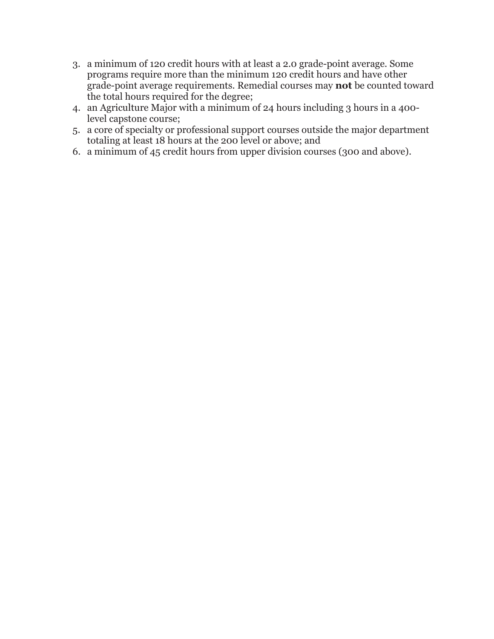- 3. a minimum of 120 credit hours with at least a 2.0 grade-point average. Some programs require more than the minimum 120 credit hours and have other grade-point average requirements. Remedial courses may **not** be counted toward the total hours required for the degree;
- 4. an Agriculture Major with a minimum of 24 hours including 3 hours in a 400 level capstone course;
- 5. a core of specialty or professional support courses outside the major department totaling at least 18 hours at the 200 level or above; and
- 6. a minimum of 45 credit hours from upper division courses (300 and above).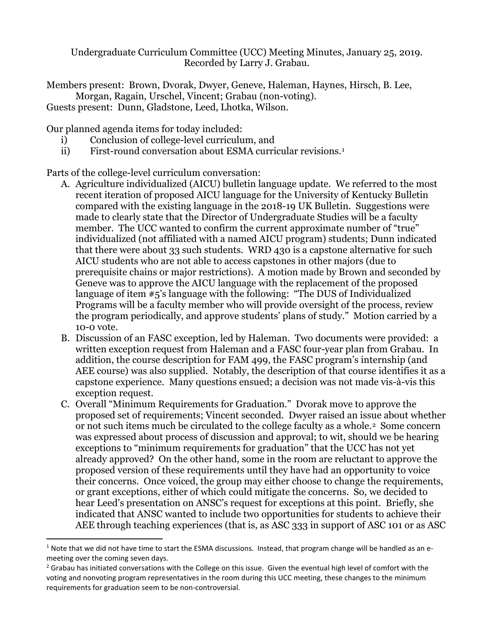Undergraduate Curriculum Committee (UCC) Meeting Minutes, January 25, 2019. Recorded by Larry J. Grabau.

Members present: Brown, Dvorak, Dwyer, Geneve, Haleman, Haynes, Hirsch, B. Lee, Morgan, Ragain, Urschel, Vincent; Grabau (non-voting). Guests present: Dunn, Gladstone, Leed, Lhotka, Wilson.

Our planned agenda items for today included:

- i) Conclusion of college-level curriculum, and
- ii) First-round conversation about ESMA curricular revisions.<sup>[1](#page-4-0)</sup>

Parts of the college-level curriculum conversation:

- A. Agriculture individualized (AICU) bulletin language update. We referred to the most recent iteration of proposed AICU language for the University of Kentucky Bulletin compared with the existing language in the 2018-19 UK Bulletin. Suggestions were made to clearly state that the Director of Undergraduate Studies will be a faculty member. The UCC wanted to confirm the current approximate number of "true" individualized (not affiliated with a named AICU program) students; Dunn indicated that there were about 33 such students. WRD 430 is a capstone alternative for such AICU students who are not able to access capstones in other majors (due to prerequisite chains or major restrictions). A motion made by Brown and seconded by Geneve was to approve the AICU language with the replacement of the proposed language of item #5's language with the following: "The DUS of Individualized Programs will be a faculty member who will provide oversight of the process, review the program periodically, and approve students' plans of study." Motion carried by a 10-0 vote.
- B. Discussion of an FASC exception, led by Haleman. Two documents were provided: a written exception request from Haleman and a FASC four-year plan from Grabau. In addition, the course description for FAM 499, the FASC program's internship (and AEE course) was also supplied. Notably, the description of that course identifies it as a capstone experience. Many questions ensued; a decision was not made vis-à-vis this exception request.
- C. Overall "Minimum Requirements for Graduation." Dvorak move to approve the proposed set of requirements; Vincent seconded. Dwyer raised an issue about whether or not such items much be circulated to the college faculty as a whole.[2](#page-4-1) Some concern was expressed about process of discussion and approval; to wit, should we be hearing exceptions to "minimum requirements for graduation" that the UCC has not yet already approved? On the other hand, some in the room are reluctant to approve the proposed version of these requirements until they have had an opportunity to voice their concerns. Once voiced, the group may either choose to change the requirements, or grant exceptions, either of which could mitigate the concerns. So, we decided to hear Leed's presentation on ANSC's request for exceptions at this point. Briefly, she indicated that ANSC wanted to include two opportunities for students to achieve their AEE through teaching experiences (that is, as ASC 333 in support of ASC 101 or as ASC

<span id="page-4-0"></span> $1$  Note that we did not have time to start the ESMA discussions. Instead, that program change will be handled as an emeeting over the coming seven days.

<span id="page-4-1"></span> $2$  Grabau has initiated conversations with the College on this issue. Given the eventual high level of comfort with the voting and nonvoting program representatives in the room during this UCC meeting, these changes to the minimum requirements for graduation seem to be non-controversial.